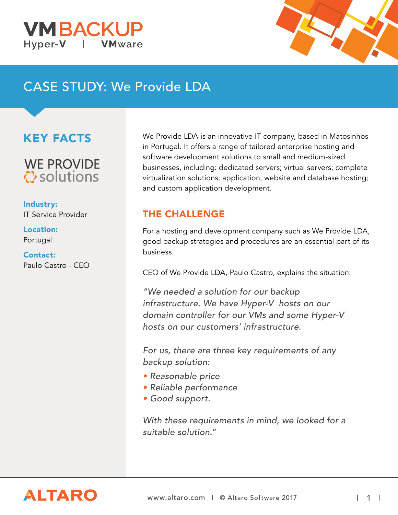



# CASE STUDY: We Provide LDA

## KEY FACTS

**WE PROVIDE े** solutions

Industry: IT Service Provider

Location: Portugal

#### Contact: Paulo Castro - CEO

We Provide LDA is an innovative IT company, based in Matosinhos in Portugal. It offers a range of tailored enterprise hosting and software development solutions to small and medium-sized businesses, including: dedicated servers; virtual servers; complete virtualization solutions; application, website and database hosting; and custom application development.

### THE CHALLENGE

For a hosting and development company such as We Provide LDA, good backup strategies and procedures are an essential part of its business.

CEO of We Provide LDA, Paulo Castro, explains the situation:

"We needed a solution for our backup infrastructure. We have Hyper-V hosts on our domain controller for our VMs and some Hyper-V hosts on our customers' infrastructure.

For us, there are three key requirements of any backup solution:

- Reasonable price
- Reliable performance
- Good support.

With these requirements in mind, we looked for a suitable solution."